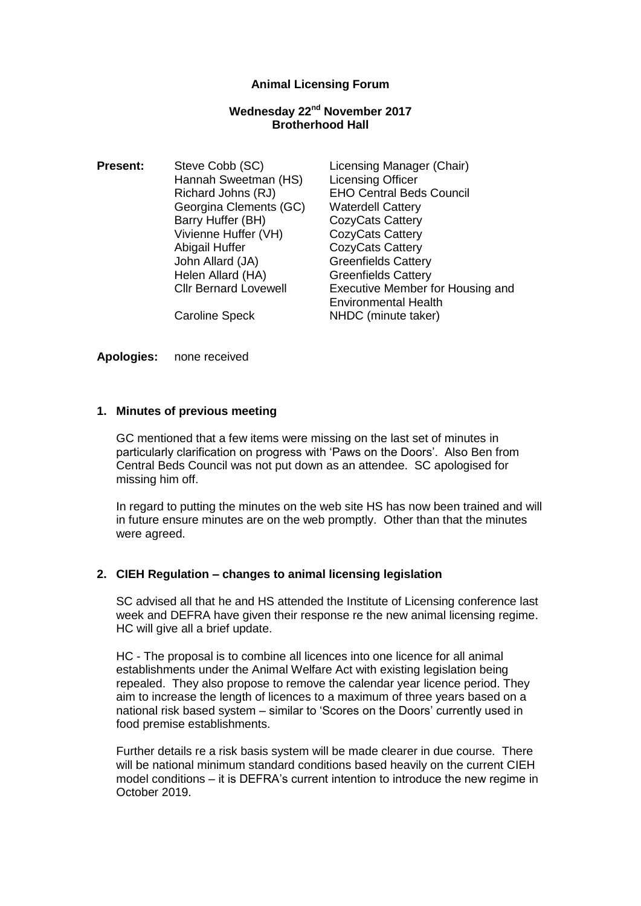## **Animal Licensing Forum**

#### **Wednesday 22nd November 2017 Brotherhood Hall**

**Present:** Steve Cobb (SC) Licensing Manager (Chair) Hannah Sweetman (HS) Licensing Officer Georgina Clements (GC) Waterdell Cattery Barry Huffer (BH) CozyCats Cattery Vivienne Huffer (VH) CozyCats Cattery Abigail Huffer CozyCats Cattery John Allard (JA) Greenfields Cattery Helen Allard (HA) Greenfields Cattery

Richard Johns (RJ) EHO Central Beds Council Cllr Bernard Lovewell Executive Member for Housing and Environmental Health Caroline Speck NHDC (minute taker)

**Apologies:** none received

## **1. Minutes of previous meeting**

GC mentioned that a few items were missing on the last set of minutes in particularly clarification on progress with 'Paws on the Doors'. Also Ben from Central Beds Council was not put down as an attendee. SC apologised for missing him off.

In regard to putting the minutes on the web site HS has now been trained and will in future ensure minutes are on the web promptly. Other than that the minutes were agreed.

#### **2. CIEH Regulation – changes to animal licensing legislation**

SC advised all that he and HS attended the Institute of Licensing conference last week and DEFRA have given their response re the new animal licensing regime. HC will give all a brief update.

HC - The proposal is to combine all licences into one licence for all animal establishments under the Animal Welfare Act with existing legislation being repealed. They also propose to remove the calendar year licence period. They aim to increase the length of licences to a maximum of three years based on a national risk based system – similar to 'Scores on the Doors' currently used in food premise establishments.

Further details re a risk basis system will be made clearer in due course. There will be national minimum standard conditions based heavily on the current CIEH model conditions – it is DEFRA's current intention to introduce the new regime in October 2019.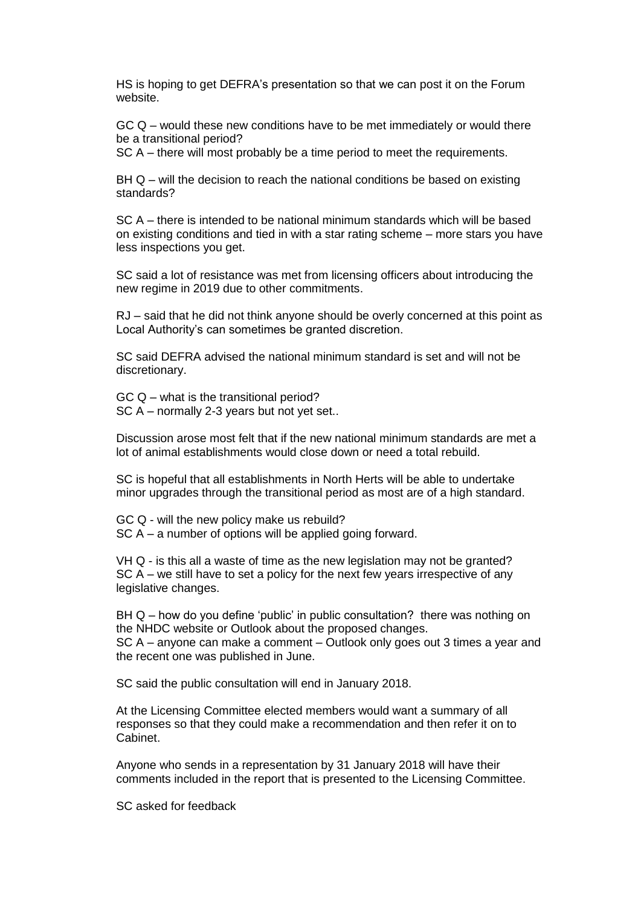HS is hoping to get DEFRA's presentation so that we can post it on the Forum website.

GC Q – would these new conditions have to be met immediately or would there be a transitional period?

SC A – there will most probably be a time period to meet the requirements.

BH Q – will the decision to reach the national conditions be based on existing standards?

SC A – there is intended to be national minimum standards which will be based on existing conditions and tied in with a star rating scheme – more stars you have less inspections you get.

SC said a lot of resistance was met from licensing officers about introducing the new regime in 2019 due to other commitments.

RJ – said that he did not think anyone should be overly concerned at this point as Local Authority's can sometimes be granted discretion.

SC said DEFRA advised the national minimum standard is set and will not be discretionary.

GC Q – what is the transitional period? SC A – normally 2-3 years but not yet set..

Discussion arose most felt that if the new national minimum standards are met a lot of animal establishments would close down or need a total rebuild.

SC is hopeful that all establishments in North Herts will be able to undertake minor upgrades through the transitional period as most are of a high standard.

GC Q - will the new policy make us rebuild? SC A – a number of options will be applied going forward.

VH Q - is this all a waste of time as the new legislation may not be granted? SC A – we still have to set a policy for the next few years irrespective of any legislative changes.

BH Q – how do you define 'public' in public consultation? there was nothing on the NHDC website or Outlook about the proposed changes. SC A – anyone can make a comment – Outlook only goes out 3 times a year and the recent one was published in June.

SC said the public consultation will end in January 2018.

At the Licensing Committee elected members would want a summary of all responses so that they could make a recommendation and then refer it on to Cabinet.

Anyone who sends in a representation by 31 January 2018 will have their comments included in the report that is presented to the Licensing Committee.

SC asked for feedback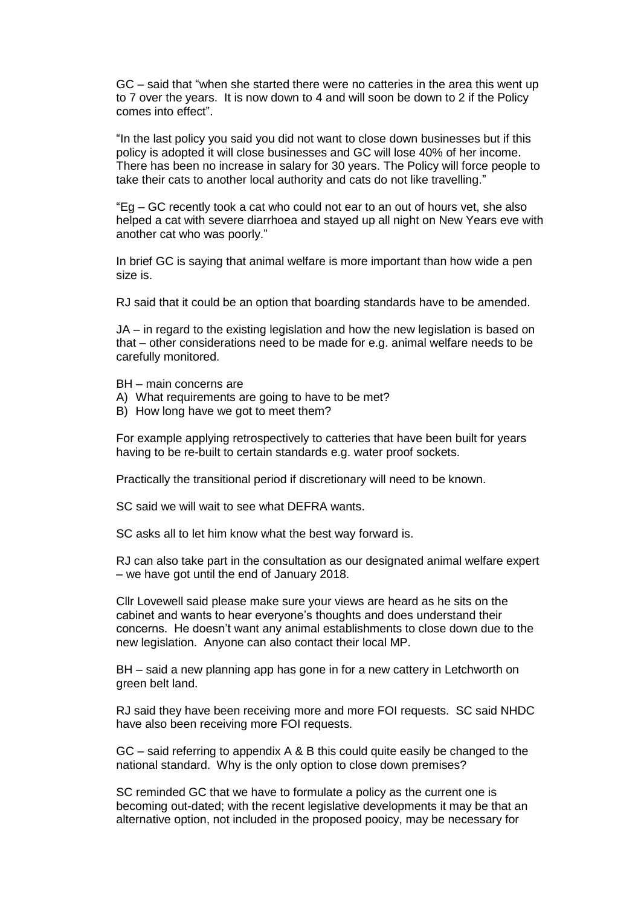GC – said that "when she started there were no catteries in the area this went up to 7 over the years. It is now down to 4 and will soon be down to 2 if the Policy comes into effect".

"In the last policy you said you did not want to close down businesses but if this policy is adopted it will close businesses and GC will lose 40% of her income. There has been no increase in salary for 30 years. The Policy will force people to take their cats to another local authority and cats do not like travelling."

"Eg – GC recently took a cat who could not ear to an out of hours vet, she also helped a cat with severe diarrhoea and stayed up all night on New Years eve with another cat who was poorly."

In brief GC is saying that animal welfare is more important than how wide a pen size is.

RJ said that it could be an option that boarding standards have to be amended.

JA – in regard to the existing legislation and how the new legislation is based on that – other considerations need to be made for e.g. animal welfare needs to be carefully monitored.

BH – main concerns are

- A) What requirements are going to have to be met?
- B) How long have we got to meet them?

For example applying retrospectively to catteries that have been built for years having to be re-built to certain standards e.g. water proof sockets.

Practically the transitional period if discretionary will need to be known.

SC said we will wait to see what DEFRA wants.

SC asks all to let him know what the best way forward is.

RJ can also take part in the consultation as our designated animal welfare expert – we have got until the end of January 2018.

Cllr Lovewell said please make sure your views are heard as he sits on the cabinet and wants to hear everyone's thoughts and does understand their concerns. He doesn't want any animal establishments to close down due to the new legislation. Anyone can also contact their local MP.

BH – said a new planning app has gone in for a new cattery in Letchworth on green belt land.

RJ said they have been receiving more and more FOI requests. SC said NHDC have also been receiving more FOI requests.

GC – said referring to appendix A & B this could quite easily be changed to the national standard. Why is the only option to close down premises?

SC reminded GC that we have to formulate a policy as the current one is becoming out-dated; with the recent legislative developments it may be that an alternative option, not included in the proposed pooicy, may be necessary for